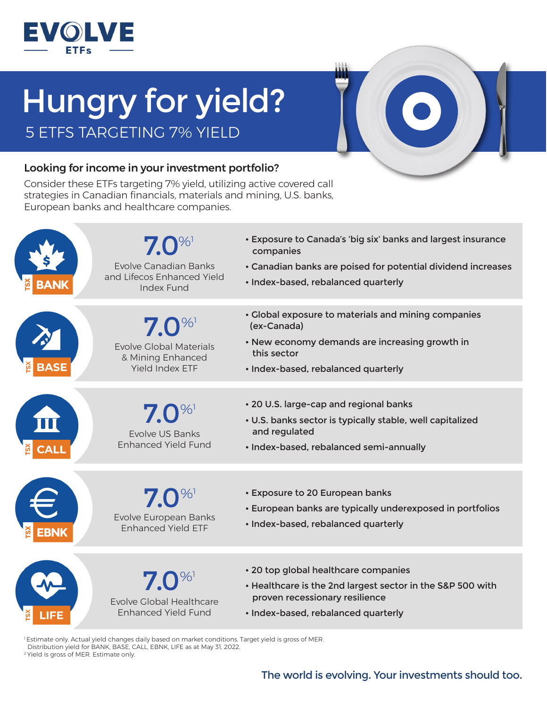

## Hungry for yield? 5 ETFS TARGETING 7% YIELD



## Looking for income in your investment portfolio?

Consider these ETFs targeting 7% yield, utilizing active covered call strategies in Canadian financials, materials and mining, U.S. banks, European banks and healthcare companies.



<sup>1</sup>Estimate only. Actual yield changes daily based on market conditions. Target yield is gross of MER. Distribution yield for BANK, BASE, CALL, EBNK, LIFE as at May 31, 2022. 2 Yield is gross of MER. Estimate only.